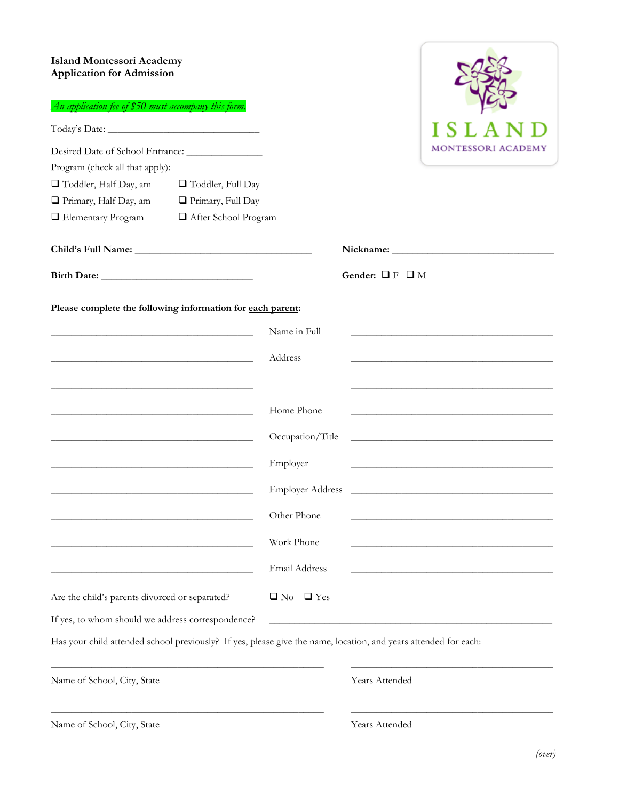## **Island Montessori Academy Application for Admission**

| <b>Island Montessori Academy</b><br><b>Application for Admission</b><br>An application fee of \$50 must accompany this form. |                                                                                                                       |                         |                           |                                                                                                                       |
|------------------------------------------------------------------------------------------------------------------------------|-----------------------------------------------------------------------------------------------------------------------|-------------------------|---------------------------|-----------------------------------------------------------------------------------------------------------------------|
|                                                                                                                              |                                                                                                                       |                         |                           | ISLA                                                                                                                  |
| Desired Date of School Entrance: _______________<br>Program (check all that apply):                                          |                                                                                                                       |                         |                           | MONTESSORI ACADEMY                                                                                                    |
| Toddler, Half Day, am                                                                                                        | Toddler, Full Day                                                                                                     |                         |                           |                                                                                                                       |
| Primary, Half Day, am                                                                                                        | Primary, Full Day                                                                                                     |                         |                           |                                                                                                                       |
| Elementary Program                                                                                                           | After School Program                                                                                                  |                         |                           |                                                                                                                       |
|                                                                                                                              |                                                                                                                       |                         |                           |                                                                                                                       |
|                                                                                                                              |                                                                                                                       |                         | Gender: $\Box$ F $\Box$ M |                                                                                                                       |
| Please complete the following information for each parent:                                                                   |                                                                                                                       |                         |                           |                                                                                                                       |
|                                                                                                                              |                                                                                                                       | Name in Full            |                           |                                                                                                                       |
| <u> 1989 - Johann Harry Harry Harry Harry Harry Harry Harry Harry Harry Harry Harry Harry Harry Harry Harry Harry</u>        |                                                                                                                       | Address                 |                           |                                                                                                                       |
| <u> 1989 - Johann Barbara, marka a shekara tsa 1989 - An tsa 1989 - An tsa 1989 - An tsa 1989 - An tsa 1989 - An</u>         |                                                                                                                       |                         |                           |                                                                                                                       |
|                                                                                                                              |                                                                                                                       | Home Phone              |                           |                                                                                                                       |
|                                                                                                                              | <u> 1980 - Johann Barbara, martin amerikan basal dan berasal dalam basal dalam basal dalam basal dalam basal dala</u> | Occupation/Title        |                           | <u> 1989 - Johann Barbara, martxa alemaniar argumento estas políticas en la contrada de la contrada de la contrad</u> |
|                                                                                                                              |                                                                                                                       | Employer                |                           |                                                                                                                       |
|                                                                                                                              |                                                                                                                       | <b>Employer Address</b> |                           | <u> 1980 - Johann Stein, marwolaethau a bhann an t-Amhair ann an t-Amhair an t-Amhair an t-Amhair an t-Amhair an</u>  |
|                                                                                                                              |                                                                                                                       | Other Phone             |                           |                                                                                                                       |
|                                                                                                                              |                                                                                                                       | Work Phone              |                           |                                                                                                                       |
|                                                                                                                              |                                                                                                                       | Email Address           |                           |                                                                                                                       |
| Are the child's parents divorced or separated?                                                                               |                                                                                                                       | $\Box$ Yes<br>$\Box$ No |                           |                                                                                                                       |
| If yes, to whom should we address correspondence?                                                                            |                                                                                                                       |                         |                           |                                                                                                                       |
| Has your child attended school previously? If yes, please give the name, location, and years attended for each:              |                                                                                                                       |                         |                           |                                                                                                                       |
| Name of School, City, State                                                                                                  |                                                                                                                       |                         | Years Attended            |                                                                                                                       |
|                                                                                                                              |                                                                                                                       |                         |                           |                                                                                                                       |

Name of School, City, State Years Attended